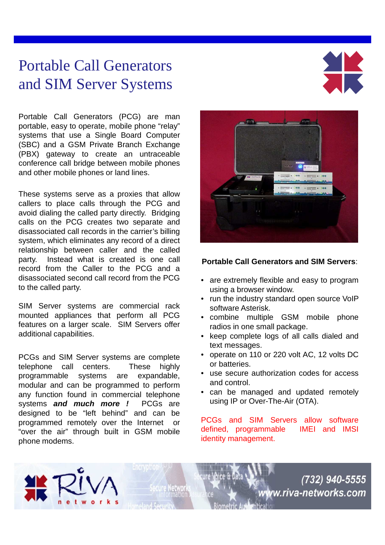## Portable Call Generators and SIM Server Systems



Portable Call Generators (PCG) are man portable, easy to operate, mobile phone "relay" systems that use a Single Board Computer (SBC) and a GSM Private Branch Exchange (PBX) gateway to create an untraceable conference call bridge between mobile phones and other mobile phones or land lines.

These systems serve as a proxies that allow callers to place calls through the PCG and avoid dialing the called party directly. Bridging calls on the PCG creates two separate and disassociated call records in the carrier's billing system, which eliminates any record of a direct relationship between caller and the called party. Instead what is created is one call record from the Caller to the PCG and a disassociated second call record from the PCG to the called party.

SIM Server systems are commercial rack mounted appliances that perform all PCG features on a larger scale. SIM Servers offer additional capabilities.

PCGs and SIM Server systems are complete telephone call centers. These highly programmable systems are expandable, modular and can be programmed to perform any function found in commercial telephone systems **and much more !** PCGs are designed to be "left behind" and can be programmed remotely over the Internet or "over the air" through built in GSM mobile phone modems.



## **Portable Call Generators and SIM Servers**:

- are extremely flexible and easy to program using a browser window.
- run the industry standard open source VoIP software Asterisk.
- combine multiple GSM mobile phone radios in one small package.
- keep complete logs of all calls dialed and text messages.
- operate on 110 or 220 volt AC, 12 volts DC or batteries.
- use secure authorization codes for access and control.
- can be managed and updated remotely using IP or Over-The-Air (OTA).

PCGs and SIM Servers allow software defined, programmable IMEI and IMSI identity management.

**Ienticatio** 

(732) 940-5555

ww.riva-networks.com